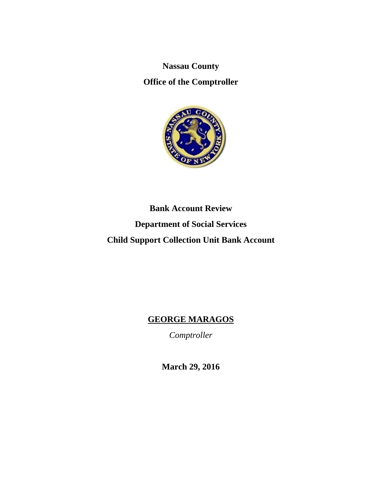**Nassau County** 

**Office of the Comptroller** 



# **Bank Account Review Department of Social Services Child Support Collection Unit Bank Account**

# **GEORGE MARAGOS**

*Comptroller* 

**March 29, 2016**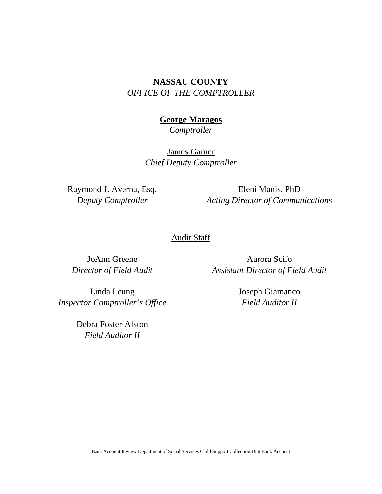# **NASSAU COUNTY**  *OFFICE OF THE COMPTROLLER*

# **George Maragos**

*Comptroller* 

James Garner *Chief Deputy Comptroller*

Raymond J. Averna, Esq. *Deputy Comptroller* 

Eleni Manis, PhD *Acting Director of Communications* 

# Audit Staff

JoAnn Greene *Director of Field Audit* 

Aurora Scifo *Assistant Director of Field Audit* 

Linda Leung *Inspector Comptroller's Office* 

> Debra Foster-Alston *Field Auditor II*

Joseph Giamanco *Field Auditor II* 

Bank Account Review Department of Social Services Child Support Collection Unit Bank Account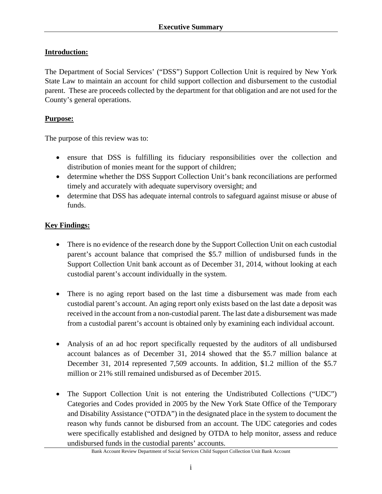# **Introduction:**

The Department of Social Services' ("DSS") Support Collection Unit is required by New York State Law to maintain an account for child support collection and disbursement to the custodial parent. These are proceeds collected by the department for that obligation and are not used for the County's general operations.

#### **Purpose:**

The purpose of this review was to:

- ensure that DSS is fulfilling its fiduciary responsibilities over the collection and distribution of monies meant for the support of children;
- determine whether the DSS Support Collection Unit's bank reconciliations are performed timely and accurately with adequate supervisory oversight; and
- determine that DSS has adequate internal controls to safeguard against misuse or abuse of funds.

#### **Key Findings:**

- There is no evidence of the research done by the Support Collection Unit on each custodial parent's account balance that comprised the \$5.7 million of undisbursed funds in the Support Collection Unit bank account as of December 31, 2014, without looking at each custodial parent's account individually in the system.
- There is no aging report based on the last time a disbursement was made from each custodial parent's account. An aging report only exists based on the last date a deposit was received in the account from a non-custodial parent. The last date a disbursement was made from a custodial parent's account is obtained only by examining each individual account.
- Analysis of an ad hoc report specifically requested by the auditors of all undisbursed account balances as of December 31, 2014 showed that the \$5.7 million balance at December 31, 2014 represented 7,509 accounts. In addition, \$1.2 million of the \$5.7 million or 21% still remained undisbursed as of December 2015.
- The Support Collection Unit is not entering the Undistributed Collections ("UDC") Categories and Codes provided in 2005 by the New York State Office of the Temporary and Disability Assistance ("OTDA") in the designated place in the system to document the reason why funds cannot be disbursed from an account. The UDC categories and codes were specifically established and designed by OTDA to help monitor, assess and reduce undisbursed funds in the custodial parents' accounts.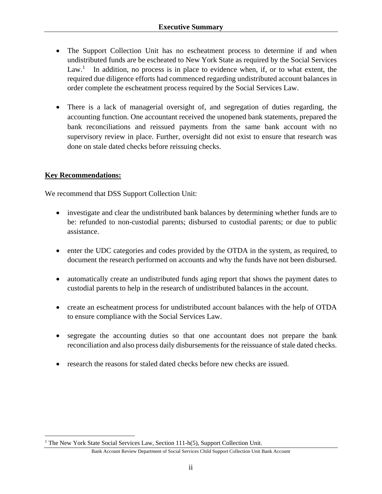- The Support Collection Unit has no escheatment process to determine if and when undistributed funds are be escheated to New York State as required by the Social Services Law.<sup>1</sup> In addition, no process is in place to evidence when, if, or to what extent, the required due diligence efforts had commenced regarding undistributed account balances in order complete the escheatment process required by the Social Services Law.
- There is a lack of managerial oversight of, and segregation of duties regarding, the accounting function. One accountant received the unopened bank statements, prepared the bank reconciliations and reissued payments from the same bank account with no supervisory review in place. Further, oversight did not exist to ensure that research was done on stale dated checks before reissuing checks.

## **Key Recommendations:**

 $\overline{a}$ 

We recommend that DSS Support Collection Unit:

- investigate and clear the undistributed bank balances by determining whether funds are to be: refunded to non-custodial parents; disbursed to custodial parents; or due to public assistance.
- enter the UDC categories and codes provided by the OTDA in the system, as required, to document the research performed on accounts and why the funds have not been disbursed.
- automatically create an undistributed funds aging report that shows the payment dates to custodial parents to help in the research of undistributed balances in the account.
- create an escheatment process for undistributed account balances with the help of OTDA to ensure compliance with the Social Services Law.
- segregate the accounting duties so that one accountant does not prepare the bank reconciliation and also process daily disbursements for the reissuance of stale dated checks.
- research the reasons for staled dated checks before new checks are issued.

<sup>&</sup>lt;sup>1</sup> The New York State Social Services Law, Section 111-h(5), Support Collection Unit.

Bank Account Review Department of Social Services Child Support Collection Unit Bank Account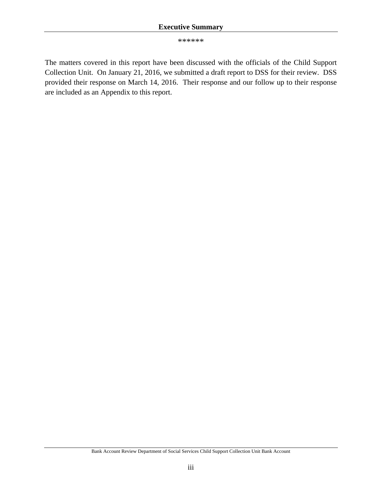#### **Executive Summary**

\*\*\*\*\*\*

The matters covered in this report have been discussed with the officials of the Child Support Collection Unit. On January 21, 2016, we submitted a draft report to DSS for their review. DSS provided their response on March 14, 2016. Their response and our follow up to their response are included as an Appendix to this report.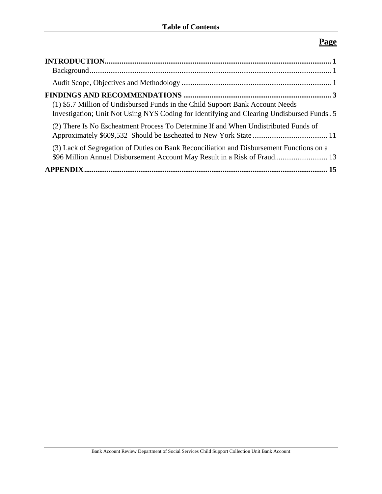# **Page**

| (1) \$5.7 Million of Undisbursed Funds in the Child Support Bank Account Needs<br>Investigation; Unit Not Using NYS Coding for Identifying and Clearing Undisbursed Funds. 5 |  |
|------------------------------------------------------------------------------------------------------------------------------------------------------------------------------|--|
| (2) There Is No Escheatment Process To Determine If and When Undistributed Funds of                                                                                          |  |
| (3) Lack of Segregation of Duties on Bank Reconciliation and Disbursement Functions on a<br>\$96 Million Annual Disbursement Account May Result in a Risk of Fraud 13        |  |
|                                                                                                                                                                              |  |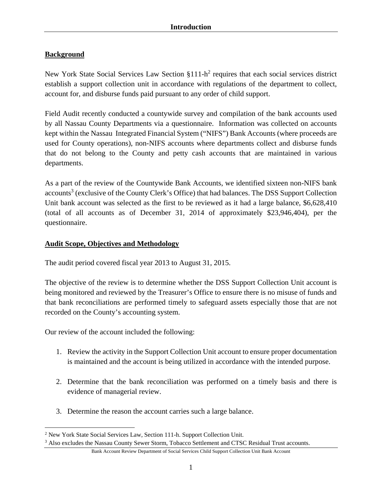# **Background**

New York State Social Services Law Section  $$111-h^2$  requires that each social services district establish a support collection unit in accordance with regulations of the department to collect, account for, and disburse funds paid pursuant to any order of child support.

Field Audit recently conducted a countywide survey and compilation of the bank accounts used by all Nassau County Departments via a questionnaire. Information was collected on accounts kept within the Nassau Integrated Financial System ("NIFS") Bank Accounts (where proceeds are used for County operations), non-NIFS accounts where departments collect and disburse funds that do not belong to the County and petty cash accounts that are maintained in various departments.

As a part of the review of the Countywide Bank Accounts, we identified sixteen non-NIFS bank accounts<sup>3</sup> (exclusive of the County Clerk's Office) that had balances. The DSS Support Collection Unit bank account was selected as the first to be reviewed as it had a large balance, \$6,628,410 (total of all accounts as of December 31, 2014 of approximately \$23,946,404), per the questionnaire.

# **Audit Scope, Objectives and Methodology**

The audit period covered fiscal year 2013 to August 31, 2015.

The objective of the review is to determine whether the DSS Support Collection Unit account is being monitored and reviewed by the Treasurer's Office to ensure there is no misuse of funds and that bank reconciliations are performed timely to safeguard assets especially those that are not recorded on the County's accounting system.

Our review of the account included the following:

- 1. Review the activity in the Support Collection Unit account to ensure proper documentation is maintained and the account is being utilized in accordance with the intended purpose.
- 2. Determine that the bank reconciliation was performed on a timely basis and there is evidence of managerial review.
- 3. Determine the reason the account carries such a large balance.

 $\overline{a}$ <sup>2</sup> New York State Social Services Law, Section 111-h. Support Collection Unit.<br><sup>3</sup> Also excludes the Nassau County Sewer Storm, Tobacco Settlement and CTSC

<sup>&</sup>lt;sup>3</sup> Also excludes the Nassau County Sewer Storm, Tobacco Settlement and CTSC Residual Trust accounts.

Bank Account Review Department of Social Services Child Support Collection Unit Bank Account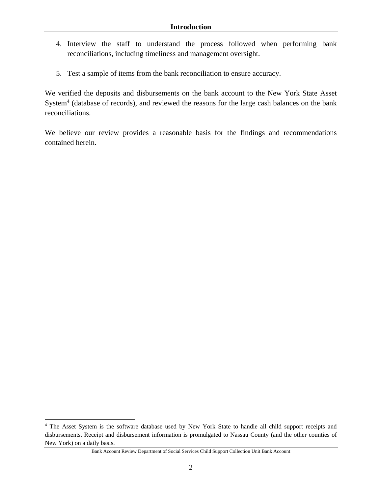- 4. Interview the staff to understand the process followed when performing bank reconciliations, including timeliness and management oversight.
- 5. Test a sample of items from the bank reconciliation to ensure accuracy.

We verified the deposits and disbursements on the bank account to the New York State Asset System<sup>4</sup> (database of records), and reviewed the reasons for the large cash balances on the bank reconciliations.

We believe our review provides a reasonable basis for the findings and recommendations contained herein.

<u>.</u>

<sup>&</sup>lt;sup>4</sup> The Asset System is the software database used by New York State to handle all child support receipts and disbursements. Receipt and disbursement information is promulgated to Nassau County (and the other counties of New York) on a daily basis.

Bank Account Review Department of Social Services Child Support Collection Unit Bank Account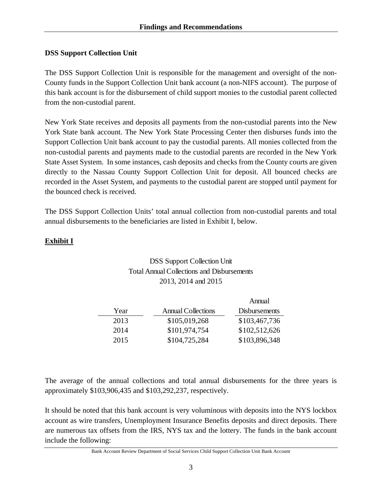## **DSS Support Collection Unit**

The DSS Support Collection Unit is responsible for the management and oversight of the non-County funds in the Support Collection Unit bank account (a non-NIFS account). The purpose of this bank account is for the disbursement of child support monies to the custodial parent collected from the non-custodial parent.

New York State receives and deposits all payments from the non-custodial parents into the New York State bank account. The New York State Processing Center then disburses funds into the Support Collection Unit bank account to pay the custodial parents. All monies collected from the non-custodial parents and payments made to the custodial parents are recorded in the New York State Asset System. In some instances, cash deposits and checks from the County courts are given directly to the Nassau County Support Collection Unit for deposit. All bounced checks are recorded in the Asset System, and payments to the custodial parent are stopped until payment for the bounced check is received.

The DSS Support Collection Units' total annual collection from non-custodial parents and total annual disbursements to the beneficiaries are listed in Exhibit I, below.

## **Exhibit I**

# DSS Support Collection Unit Total Annual Collections and Disbursements 2013, 2014 and 2015

|      |                           | Annual               |
|------|---------------------------|----------------------|
| Year | <b>Annual Collections</b> | <b>Disbursements</b> |
| 2013 | \$105,019,268             | \$103,467,736        |
| 2014 | \$101,974,754             | \$102,512,626        |
| 2015 | \$104,725,284             | \$103,896,348        |

The average of the annual collections and total annual disbursements for the three years is approximately \$103,906,435 and \$103,292,237, respectively.

It should be noted that this bank account is very voluminous with deposits into the NYS lockbox account as wire transfers, Unemployment Insurance Benefits deposits and direct deposits. There are numerous tax offsets from the IRS, NYS tax and the lottery. The funds in the bank account include the following: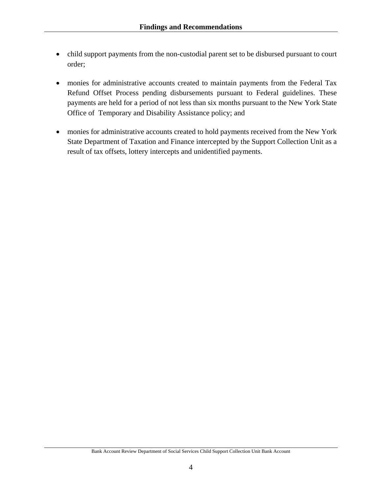- child support payments from the non-custodial parent set to be disbursed pursuant to court order;
- monies for administrative accounts created to maintain payments from the Federal Tax Refund Offset Process pending disbursements pursuant to Federal guidelines. These payments are held for a period of not less than six months pursuant to the New York State Office of Temporary and Disability Assistance policy; and
- monies for administrative accounts created to hold payments received from the New York State Department of Taxation and Finance intercepted by the Support Collection Unit as a result of tax offsets, lottery intercepts and unidentified payments.

4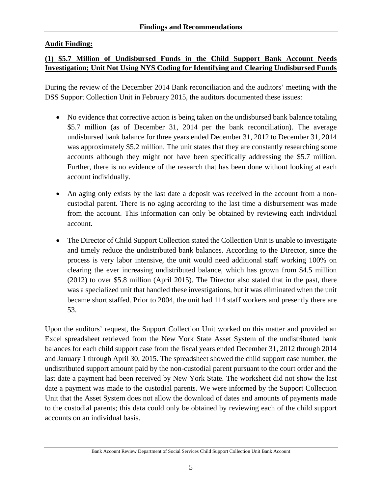# **Audit Finding:**

# **(1) \$5.7 Million of Undisbursed Funds in the Child Support Bank Account Needs Investigation; Unit Not Using NYS Coding for Identifying and Clearing Undisbursed Funds**

During the review of the December 2014 Bank reconciliation and the auditors' meeting with the DSS Support Collection Unit in February 2015, the auditors documented these issues:

- No evidence that corrective action is being taken on the undisbursed bank balance totaling \$5.7 million (as of December 31, 2014 per the bank reconciliation). The average undisbursed bank balance for three years ended December 31, 2012 to December 31, 2014 was approximately \$5.2 million. The unit states that they are constantly researching some accounts although they might not have been specifically addressing the \$5.7 million. Further, there is no evidence of the research that has been done without looking at each account individually.
- An aging only exists by the last date a deposit was received in the account from a noncustodial parent. There is no aging according to the last time a disbursement was made from the account. This information can only be obtained by reviewing each individual account.
- The Director of Child Support Collection stated the Collection Unit is unable to investigate and timely reduce the undistributed bank balances. According to the Director, since the process is very labor intensive, the unit would need additional staff working 100% on clearing the ever increasing undistributed balance, which has grown from \$4.5 million (2012) to over \$5.8 million (April 2015). The Director also stated that in the past, there was a specialized unit that handled these investigations, but it was eliminated when the unit became short staffed. Prior to 2004, the unit had 114 staff workers and presently there are 53.

Upon the auditors' request, the Support Collection Unit worked on this matter and provided an Excel spreadsheet retrieved from the New York State Asset System of the undistributed bank balances for each child support case from the fiscal years ended December 31, 2012 through 2014 and January 1 through April 30, 2015. The spreadsheet showed the child support case number, the undistributed support amount paid by the non-custodial parent pursuant to the court order and the last date a payment had been received by New York State. The worksheet did not show the last date a payment was made to the custodial parents. We were informed by the Support Collection Unit that the Asset System does not allow the download of dates and amounts of payments made to the custodial parents; this data could only be obtained by reviewing each of the child support accounts on an individual basis.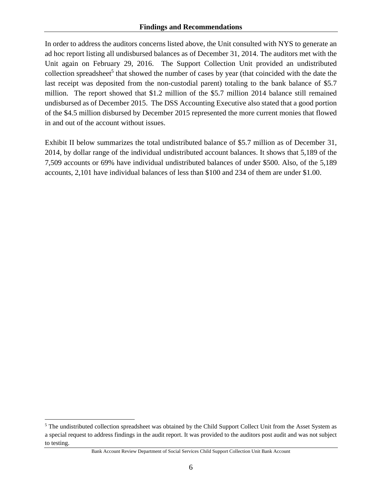In order to address the auditors concerns listed above, the Unit consulted with NYS to generate an ad hoc report listing all undisbursed balances as of December 31, 2014. The auditors met with the Unit again on February 29, 2016. The Support Collection Unit provided an undistributed collection spreadsheet<sup>5</sup> that showed the number of cases by year (that coincided with the date the last receipt was deposited from the non-custodial parent) totaling to the bank balance of \$5.7 million. The report showed that \$1.2 million of the \$5.7 million 2014 balance still remained undisbursed as of December 2015. The DSS Accounting Executive also stated that a good portion of the \$4.5 million disbursed by December 2015 represented the more current monies that flowed in and out of the account without issues.

Exhibit II below summarizes the total undistributed balance of \$5.7 million as of December 31, 2014, by dollar range of the individual undistributed account balances. It shows that 5,189 of the 7,509 accounts or 69% have individual undistributed balances of under \$500. Also, of the 5,189 accounts, 2,101 have individual balances of less than \$100 and 234 of them are under \$1.00.

 $\overline{a}$ 

<sup>&</sup>lt;sup>5</sup> The undistributed collection spreadsheet was obtained by the Child Support Collect Unit from the Asset System as a special request to address findings in the audit report. It was provided to the auditors post audit and was not subject to testing.

Bank Account Review Department of Social Services Child Support Collection Unit Bank Account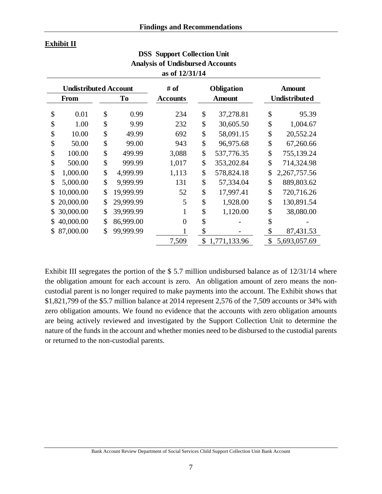#### **Exhibit II**

|                              | Analysis of Unuisbursed Accounts<br>as of 12/31/14 |    |           |                   |    |               |    |                      |  |  |
|------------------------------|----------------------------------------------------|----|-----------|-------------------|----|---------------|----|----------------------|--|--|
| <b>Undistributed Account</b> |                                                    |    | # of      | <b>Obligation</b> |    | <b>Amount</b> |    |                      |  |  |
|                              | <b>From</b>                                        |    | To        | <b>Accounts</b>   |    | <b>Amount</b> |    | <b>Undistributed</b> |  |  |
| \$                           | 0.01                                               | \$ | 0.99      | 234               | \$ | 37,278.81     | \$ | 95.39                |  |  |
| \$                           | 1.00                                               | \$ | 9.99      | 232               | \$ | 30,605.50     | \$ | 1,004.67             |  |  |
| \$                           | 10.00                                              | \$ | 49.99     | 692               | \$ | 58,091.15     | \$ | 20,552.24            |  |  |
| \$                           | 50.00                                              | \$ | 99.00     | 943               | \$ | 96,975.68     | \$ | 67,260.66            |  |  |
| \$                           | 100.00                                             | \$ | 499.99    | 3,088             | \$ | 537,776.35    | \$ | 755,139.24           |  |  |
| \$                           | 500.00                                             | \$ | 999.99    | 1,017             | \$ | 353,202.84    | \$ | 714,324.98           |  |  |
| \$                           | 1,000.00                                           | \$ | 4,999.99  | 1,113             | \$ | 578,824.18    | \$ | 2,267,757.56         |  |  |
| \$                           | 5,000.00                                           | \$ | 9,999.99  | 131               | \$ | 57,334.04     | \$ | 889,803.62           |  |  |
| \$                           | 10,000.00                                          | \$ | 19,999.99 | 52                | \$ | 17,997.41     | \$ | 720,716.26           |  |  |
|                              | 20,000.00                                          | \$ | 29,999.99 | 5                 | \$ | 1,928.00      | \$ | 130,891.54           |  |  |
|                              | 30,000.00                                          | \$ | 39,999.99 |                   | \$ | 1,120.00      | \$ | 38,080.00            |  |  |
|                              | 40,000.00                                          | \$ | 86,999.00 | $\theta$          | \$ |               | \$ |                      |  |  |
|                              | 87,000.00                                          | \$ | 99,999.99 |                   | \$ |               | \$ | 87,431.53            |  |  |
|                              |                                                    |    |           | 7,509             | \$ | 1,771,133.96  | \$ | 5,693,057.69         |  |  |

**DSS Support Collection Unit Analysis of Undisbursed Accounts** 

Exhibit III segregates the portion of the \$ 5.7 million undisbursed balance as of 12/31/14 where the obligation amount for each account is zero. An obligation amount of zero means the noncustodial parent is no longer required to make payments into the account. The Exhibit shows that \$1,821,799 of the \$5.7 million balance at 2014 represent 2,576 of the 7,509 accounts or 34% with zero obligation amounts. We found no evidence that the accounts with zero obligation amounts are being actively reviewed and investigated by the Support Collection Unit to determine the nature of the funds in the account and whether monies need to be disbursed to the custodial parents or returned to the non-custodial parents.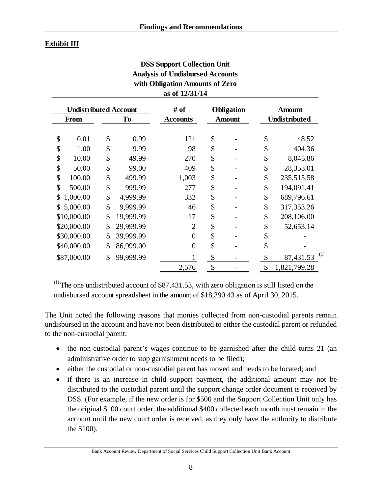# **Exhibit III**

| <b>DSS Support Collection Unit</b><br><b>Analysis of Undisbursed Accounts</b><br>with Obligation Amounts of Zero<br>as of 12/31/14 |    |                 |                |               |                      |    |                  |  |  |  |
|------------------------------------------------------------------------------------------------------------------------------------|----|-----------------|----------------|---------------|----------------------|----|------------------|--|--|--|
| <b>Undistributed Account</b>                                                                                                       |    |                 | # of           |               | <b>Obligation</b>    |    | <b>Amount</b>    |  |  |  |
| To<br><b>From</b>                                                                                                                  |    | <b>Accounts</b> |                | <b>Amount</b> | <b>Undistributed</b> |    |                  |  |  |  |
| \$<br>0.01                                                                                                                         | \$ | 0.99            | 121            | \$            |                      | \$ | 48.52            |  |  |  |
| \$<br>1.00                                                                                                                         | \$ | 9.99            | 98             | \$            |                      | \$ | 404.36           |  |  |  |
| \$<br>10.00                                                                                                                        | \$ | 49.99           | 270            | \$            |                      | \$ | 8,045.86         |  |  |  |
| \$<br>50.00                                                                                                                        | \$ | 99.00           | 409            | \$            |                      | \$ | 28,353.01        |  |  |  |
| \$<br>100.00                                                                                                                       | \$ | 499.99          | 1,003          | \$            |                      | \$ | 235,515.58       |  |  |  |
| \$<br>500.00                                                                                                                       | \$ | 999.99          | 277            | \$            |                      | \$ | 194,091.41       |  |  |  |
| \$<br>1,000.00                                                                                                                     | \$ | 4,999.99        | 332            | \$            |                      | \$ | 689,796.61       |  |  |  |
| \$<br>5,000.00                                                                                                                     | \$ | 9,999.99        | 46             | \$            |                      | \$ | 317, 353. 26     |  |  |  |
| \$10,000.00                                                                                                                        | \$ | 19,999.99       | 17             | \$            |                      | \$ | 208,106.00       |  |  |  |
| \$20,000.00                                                                                                                        | \$ | 29,999.99       | $\overline{2}$ | \$            |                      | \$ | 52,653.14        |  |  |  |
| \$30,000.00                                                                                                                        | \$ | 39,999.99       | $\overline{0}$ | \$            |                      | \$ |                  |  |  |  |
| \$40,000.00                                                                                                                        | \$ | 86,999.00       | $\overline{0}$ | \$            |                      | \$ |                  |  |  |  |
| \$87,000.00                                                                                                                        | \$ | 99,999.99       |                | \$            |                      | \$ | (1)<br>87,431.53 |  |  |  |
|                                                                                                                                    |    |                 | 2,576          | \$            |                      | \$ | 1,821,799.28     |  |  |  |

 $<sup>(1)</sup>$  The one undistributed account of \$87,431.53, with zero obligation is still listed on the</sup> undisbursed account spreadsheet in the amount of \$18,390.43 as of April 30, 2015.

The Unit noted the following reasons that monies collected from non-custodial parents remain undisbursed in the account and have not been distributed to either the custodial parent or refunded to the non-custodial parent:

- the non-custodial parent's wages continue to be garnished after the child turns 21 (an administrative order to stop garnishment needs to be filed);
- either the custodial or non-custodial parent has moved and needs to be located; and
- if there is an increase in child support payment, the additional amount may not be distributed to the custodial parent until the support change order document is received by DSS. (For example, if the new order is for \$500 and the Support Collection Unit only has the original \$100 court order, the additional \$400 collected each month must remain in the account until the new court order is received, as they only have the authority to distribute the \$100).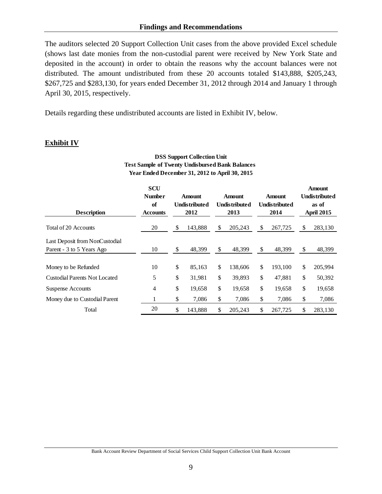The auditors selected 20 Support Collection Unit cases from the above provided Excel schedule (shows last date monies from the non-custodial parent were received by New York State and deposited in the account) in order to obtain the reasons why the account balances were not distributed. The amount undistributed from these 20 accounts totaled \$143,888, \$205,243, \$267,725 and \$283,130, for years ended December 31, 2012 through 2014 and January 1 through April 30, 2015, respectively.

Details regarding these undistributed accounts are listed in Exhibit IV, below.

# **Exhibit IV**

| Year Ended December 31, 2012 to April 30, 2015              |                                                      |                                        |         |                                        |         |                                        |         |                                                                     |         |
|-------------------------------------------------------------|------------------------------------------------------|----------------------------------------|---------|----------------------------------------|---------|----------------------------------------|---------|---------------------------------------------------------------------|---------|
| <b>Description</b>                                          | <b>SCU</b><br><b>Number</b><br>of<br><b>Accounts</b> | Amount<br><b>Undistributed</b><br>2012 |         | Amount<br><b>Undistributed</b><br>2013 |         | Amount<br><b>Undistributed</b><br>2014 |         | <b>Amount</b><br><b>Undistributed</b><br>as of<br><b>April 2015</b> |         |
| Total of 20 Accounts                                        | 20                                                   | \$                                     | 143,888 | \$                                     | 205,243 | \$                                     | 267,725 | \$                                                                  | 283,130 |
| Last Deposit from NonCustodial<br>Parent - 3 to 5 Years Ago | 10                                                   | \$                                     | 48,399  | \$                                     | 48,399  | \$                                     | 48,399  | \$                                                                  | 48,399  |
| Money to be Refunded                                        | 10                                                   | \$                                     | 85,163  | \$                                     | 138,606 | \$                                     | 193,100 | \$                                                                  | 205,994 |
| <b>Custodial Parents Not Located</b>                        | 5                                                    | \$                                     | 31,981  | \$                                     | 39,893  | \$                                     | 47,881  | \$                                                                  | 50,392  |
| <b>Suspense Accounts</b>                                    | $\overline{4}$                                       | \$                                     | 19,658  | \$                                     | 19,658  | \$                                     | 19,658  | \$                                                                  | 19,658  |
| Money due to Custodial Parent                               |                                                      | \$                                     | 7,086   | \$                                     | 7,086   | \$                                     | 7,086   | \$                                                                  | 7,086   |
| Total                                                       | 20                                                   | \$                                     | 143,888 | \$                                     | 205,243 | \$                                     | 267,725 | \$                                                                  | 283,130 |

# **DSS Support Collection Unit Test Sample of Twenty Undisbursed Bank Balances**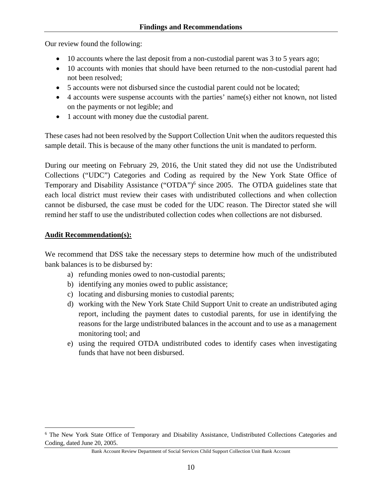Our review found the following:

- 10 accounts where the last deposit from a non-custodial parent was 3 to 5 years ago;
- 10 accounts with monies that should have been returned to the non-custodial parent had not been resolved;
- 5 accounts were not disbursed since the custodial parent could not be located;
- 4 accounts were suspense accounts with the parties' name(s) either not known, not listed on the payments or not legible; and
- 1 account with money due the custodial parent.

These cases had not been resolved by the Support Collection Unit when the auditors requested this sample detail. This is because of the many other functions the unit is mandated to perform.

During our meeting on February 29, 2016, the Unit stated they did not use the Undistributed Collections ("UDC") Categories and Coding as required by the New York State Office of Temporary and Disability Assistance ("OTDA")<sup>6</sup> since 2005. The OTDA guidelines state that each local district must review their cases with undistributed collections and when collection cannot be disbursed, the case must be coded for the UDC reason. The Director stated she will remind her staff to use the undistributed collection codes when collections are not disbursed.

#### **Audit Recommendation(s):**

 $\overline{a}$ 

We recommend that DSS take the necessary steps to determine how much of the undistributed bank balances is to be disbursed by:

- a) refunding monies owed to non-custodial parents;
- b) identifying any monies owed to public assistance;
- c) locating and disbursing monies to custodial parents;
- d) working with the New York State Child Support Unit to create an undistributed aging report, including the payment dates to custodial parents, for use in identifying the reasons for the large undistributed balances in the account and to use as a management monitoring tool; and
- e) using the required OTDA undistributed codes to identify cases when investigating funds that have not been disbursed.

<sup>&</sup>lt;sup>6</sup> The New York State Office of Temporary and Disability Assistance, Undistributed Collections Categories and Coding, dated June 20, 2005.

Bank Account Review Department of Social Services Child Support Collection Unit Bank Account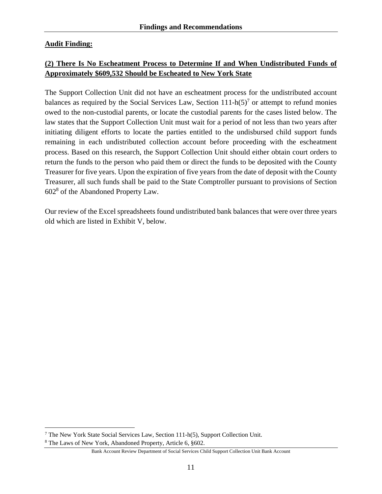# **Audit Finding:**

# **(2) There Is No Escheatment Process to Determine If and When Undistributed Funds of Approximately \$609,532 Should be Escheated to New York State**

The Support Collection Unit did not have an escheatment process for the undistributed account balances as required by the Social Services Law, Section  $111-h(5)^7$  or attempt to refund monies owed to the non-custodial parents, or locate the custodial parents for the cases listed below. The law states that the Support Collection Unit must wait for a period of not less than two years after initiating diligent efforts to locate the parties entitled to the undisbursed child support funds remaining in each undistributed collection account before proceeding with the escheatment process. Based on this research, the Support Collection Unit should either obtain court orders to return the funds to the person who paid them or direct the funds to be deposited with the County Treasurer for five years. Upon the expiration of five years from the date of deposit with the County Treasurer, all such funds shall be paid to the State Comptroller pursuant to provisions of Section 6028 of the Abandoned Property Law.

Our review of the Excel spreadsheets found undistributed bank balances that were over three years old which are listed in Exhibit V, below.

 $\overline{a}$ <sup>7</sup> The New York State Social Services Law, Section 111-h(5), Support Collection Unit.<br><sup>8</sup> The Laws of New York, Abandoned Property, Article 6, 8602

The Laws of New York, Abandoned Property, Article 6, §602.

Bank Account Review Department of Social Services Child Support Collection Unit Bank Account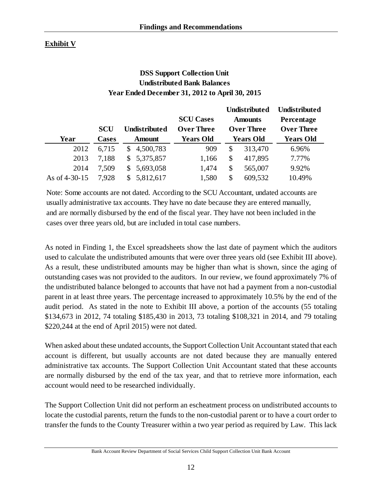# **Exhibit V**

# **DSS Support Collection Unit Undistributed Bank Balances Year Ended December 31, 2012 to April 30, 2015**

|                 |              |                      |                   | <b>Undistributed</b> |                   | Undistributed     |
|-----------------|--------------|----------------------|-------------------|----------------------|-------------------|-------------------|
|                 |              |                      | <b>SCU Cases</b>  | <b>Amounts</b>       |                   | Percentage        |
|                 | <b>SCU</b>   | <b>Undistributed</b> | <b>Over Three</b> |                      | <b>Over Three</b> | <b>Over Three</b> |
| Year            | <b>Cases</b> | <b>Amount</b>        | <b>Years Old</b>  |                      | <b>Years Old</b>  | <b>Years Old</b>  |
| 2012            | 6,715        | \$4,500,783          | 909               | \$                   | 313,470           | 6.96%             |
| 2013            | 7,188        | 5,375,857<br>\$      | 1,166             | \$                   | 417,895           | 7.77%             |
| 2014            | 7,509        | 5,693,058<br>S.      | 1,474             | \$                   | 565,007           | 9.92%             |
| As of $4-30-15$ | 7.928        | 5,812,617            | 1,580             | \$                   | 609,532           | 10.49%            |

Note: Some accounts are not dated. According to the SCU Accountant, undated accounts are usually administrative tax accounts. They have no date because they are entered manually, and are normally disbursed by the end of the fiscal year. They have not been included in the cases over three years old, but are included in total case numbers.

As noted in Finding 1, the Excel spreadsheets show the last date of payment which the auditors used to calculate the undistributed amounts that were over three years old (see Exhibit III above). As a result, these undistributed amounts may be higher than what is shown, since the aging of outstanding cases was not provided to the auditors. In our review, we found approximately 7% of the undistributed balance belonged to accounts that have not had a payment from a non-custodial parent in at least three years. The percentage increased to approximately 10.5% by the end of the audit period. As stated in the note to Exhibit III above, a portion of the accounts (55 totaling \$134,673 in 2012, 74 totaling \$185,430 in 2013, 73 totaling \$108,321 in 2014, and 79 totaling \$220,244 at the end of April 2015) were not dated.

When asked about these undated accounts, the Support Collection Unit Accountant stated that each account is different, but usually accounts are not dated because they are manually entered administrative tax accounts. The Support Collection Unit Accountant stated that these accounts are normally disbursed by the end of the tax year, and that to retrieve more information, each account would need to be researched individually.

The Support Collection Unit did not perform an escheatment process on undistributed accounts to locate the custodial parents, return the funds to the non-custodial parent or to have a court order to transfer the funds to the County Treasurer within a two year period as required by Law. This lack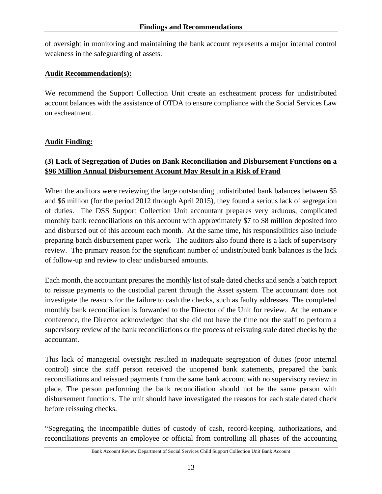of oversight in monitoring and maintaining the bank account represents a major internal control weakness in the safeguarding of assets.

#### **Audit Recommendation(s):**

We recommend the Support Collection Unit create an escheatment process for undistributed account balances with the assistance of OTDA to ensure compliance with the Social Services Law on escheatment.

## **Audit Finding:**

# **(3) Lack of Segregation of Duties on Bank Reconciliation and Disbursement Functions on a \$96 Million Annual Disbursement Account May Result in a Risk of Fraud**

When the auditors were reviewing the large outstanding undistributed bank balances between \$5 and \$6 million (for the period 2012 through April 2015), they found a serious lack of segregation of duties. The DSS Support Collection Unit accountant prepares very arduous, complicated monthly bank reconciliations on this account with approximately \$7 to \$8 million deposited into and disbursed out of this account each month. At the same time, his responsibilities also include preparing batch disbursement paper work. The auditors also found there is a lack of supervisory review. The primary reason for the significant number of undistributed bank balances is the lack of follow-up and review to clear undisbursed amounts.

Each month, the accountant prepares the monthly list of stale dated checks and sends a batch report to reissue payments to the custodial parent through the Asset system. The accountant does not investigate the reasons for the failure to cash the checks, such as faulty addresses. The completed monthly bank reconciliation is forwarded to the Director of the Unit for review. At the entrance conference, the Director acknowledged that she did not have the time nor the staff to perform a supervisory review of the bank reconciliations or the process of reissuing stale dated checks by the accountant.

This lack of managerial oversight resulted in inadequate segregation of duties (poor internal control) since the staff person received the unopened bank statements, prepared the bank reconciliations and reissued payments from the same bank account with no supervisory review in place. The person performing the bank reconciliation should not be the same person with disbursement functions. The unit should have investigated the reasons for each stale dated check before reissuing checks.

"Segregating the incompatible duties of custody of cash, record-keeping, authorizations, and reconciliations prevents an employee or official from controlling all phases of the accounting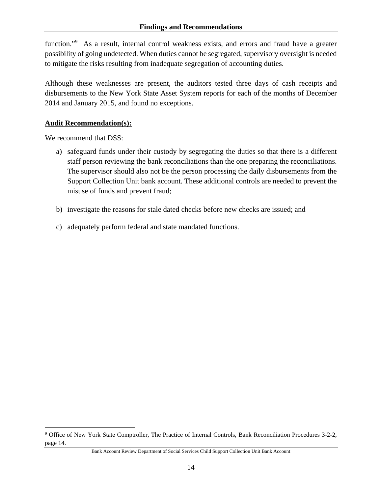function."<sup>9</sup> As a result, internal control weakness exists, and errors and fraud have a greater possibility of going undetected. When duties cannot be segregated, supervisory oversight is needed to mitigate the risks resulting from inadequate segregation of accounting duties.

Although these weaknesses are present, the auditors tested three days of cash receipts and disbursements to the New York State Asset System reports for each of the months of December 2014 and January 2015, and found no exceptions.

#### **Audit Recommendation(s):**

We recommend that DSS:

 $\overline{a}$ 

- a) safeguard funds under their custody by segregating the duties so that there is a different staff person reviewing the bank reconciliations than the one preparing the reconciliations. The supervisor should also not be the person processing the daily disbursements from the Support Collection Unit bank account. These additional controls are needed to prevent the misuse of funds and prevent fraud;
- b) investigate the reasons for stale dated checks before new checks are issued; and
- c) adequately perform federal and state mandated functions.

<sup>&</sup>lt;sup>9</sup> Office of New York State Comptroller, The Practice of Internal Controls, Bank Reconciliation Procedures 3-2-2, page 14.

Bank Account Review Department of Social Services Child Support Collection Unit Bank Account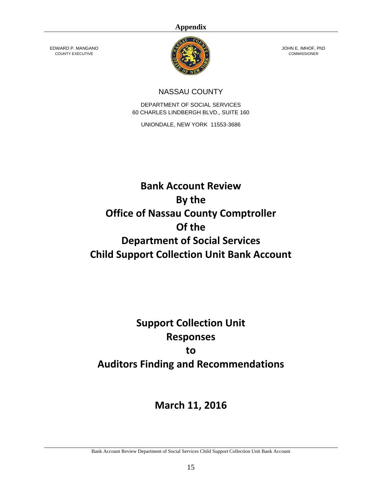#### **Appendix**

EDWARD P. MANGANO COUNTY EXECUTIVE



JOHN E. IMHOF, PhD **COMMISSIONER** 

# NASSAU COUNTY

DEPARTMENT OF SOCIAL SERVICES 60 CHARLES LINDBERGH BLVD., SUITE 160

UNIONDALE, NEW YORK 11553-3686

# **Bank Account Review By the Office of Nassau County Comptroller Of the Department of Social Services Child Support Collection Unit Bank Account**

# **Support Collection Unit Responses to Auditors Finding and Recommendations**

# **March 11, 2016**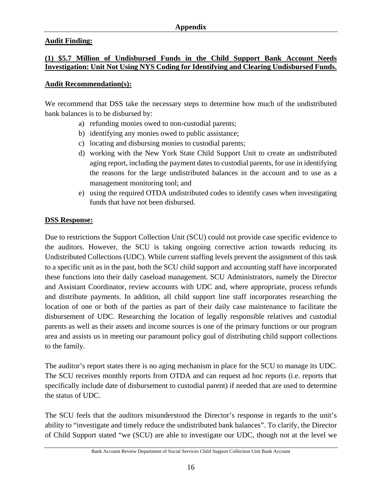## **Audit Finding:**

#### **(1) \$5.7 Million of Undisbursed Funds in the Child Support Bank Account Needs Investigation: Unit Not Using NYS Coding for Identifying and Clearing Undisbursed Funds.**

#### **Audit Recommendation(s):**

We recommend that DSS take the necessary steps to determine how much of the undistributed bank balances is to be disbursed by:

- a) refunding monies owed to non-custodial parents;
- b) identifying any monies owed to public assistance;
- c) locating and disbursing monies to custodial parents;
- d) working with the New York State Child Support Unit to create an undistributed aging report, including the payment dates to custodial parents, for use in identifying the reasons for the large undistributed balances in the account and to use as a management monitoring tool; and
- e) using the required OTDA undistributed codes to identify cases when investigating funds that have not been disbursed.

#### **DSS Response:**

Due to restrictions the Support Collection Unit (SCU) could not provide case specific evidence to the auditors. However, the SCU is taking ongoing corrective action towards reducing its Undistributed Collections (UDC). While current staffing levels prevent the assignment of this task to a specific unit as in the past, both the SCU child support and accounting staff have incorporated these functions into their daily caseload management. SCU Administrators, namely the Director and Assistant Coordinator, review accounts with UDC and, where appropriate, process refunds and distribute payments. In addition, all child support line staff incorporates researching the location of one or both of the parties as part of their daily case maintenance to facilitate the disbursement of UDC. Researching the location of legally responsible relatives and custodial parents as well as their assets and income sources is one of the primary functions or our program area and assists us in meeting our paramount policy goal of distributing child support collections to the family.

The auditor's report states there is no aging mechanism in place for the SCU to manage its UDC. The SCU receives monthly reports from OTDA and can request ad hoc reports (i.e. reports that specifically include date of disbursement to custodial parent) if needed that are used to determine the status of UDC.

The SCU feels that the auditors misunderstood the Director's response in regards to the unit's ability to "investigate and timely reduce the undistributed bank balances". To clarify, the Director of Child Support stated "we (SCU) are able to investigate our UDC, though not at the level we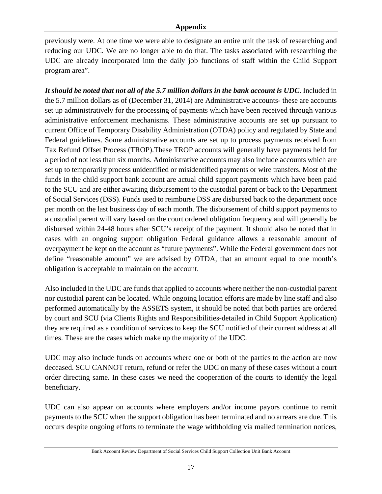previously were. At one time we were able to designate an entire unit the task of researching and reducing our UDC. We are no longer able to do that. The tasks associated with researching the UDC are already incorporated into the daily job functions of staff within the Child Support program area".

*It should be noted that not all of the 5.7 million dollars in the bank account is UDC*. Included in the 5.7 million dollars as of (December 31, 2014) are Administrative accounts- these are accounts set up administratively for the processing of payments which have been received through various administrative enforcement mechanisms. These administrative accounts are set up pursuant to current Office of Temporary Disability Administration (OTDA) policy and regulated by State and Federal guidelines. Some administrative accounts are set up to process payments received from Tax Refund Offset Process (TROP).These TROP accounts will generally have payments held for a period of not less than six months. Administrative accounts may also include accounts which are set up to temporarily process unidentified or misidentified payments or wire transfers. Most of the funds in the child support bank account are actual child support payments which have been paid to the SCU and are either awaiting disbursement to the custodial parent or back to the Department of Social Services (DSS). Funds used to reimburse DSS are disbursed back to the department once per month on the last business day of each month. The disbursement of child support payments to a custodial parent will vary based on the court ordered obligation frequency and will generally be disbursed within 24-48 hours after SCU's receipt of the payment. It should also be noted that in cases with an ongoing support obligation Federal guidance allows a reasonable amount of overpayment be kept on the account as "future payments". While the Federal government does not define "reasonable amount" we are advised by OTDA, that an amount equal to one month's obligation is acceptable to maintain on the account.

Also included in the UDC are funds that applied to accounts where neither the non-custodial parent nor custodial parent can be located. While ongoing location efforts are made by line staff and also performed automatically by the ASSETS system, it should be noted that both parties are ordered by court and SCU (via Clients Rights and Responsibilities-detailed in Child Support Application) they are required as a condition of services to keep the SCU notified of their current address at all times. These are the cases which make up the majority of the UDC.

UDC may also include funds on accounts where one or both of the parties to the action are now deceased. SCU CANNOT return, refund or refer the UDC on many of these cases without a court order directing same. In these cases we need the cooperation of the courts to identify the legal beneficiary.

UDC can also appear on accounts where employers and/or income payors continue to remit payments to the SCU when the support obligation has been terminated and no arrears are due. This occurs despite ongoing efforts to terminate the wage withholding via mailed termination notices,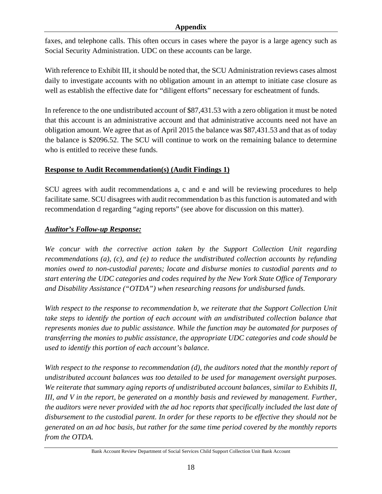#### **Appendix**

faxes, and telephone calls. This often occurs in cases where the payor is a large agency such as Social Security Administration. UDC on these accounts can be large.

With reference to Exhibit III, it should be noted that, the SCU Administration reviews cases almost daily to investigate accounts with no obligation amount in an attempt to initiate case closure as well as establish the effective date for "diligent efforts" necessary for escheatment of funds.

In reference to the one undistributed account of \$87,431.53 with a zero obligation it must be noted that this account is an administrative account and that administrative accounts need not have an obligation amount. We agree that as of April 2015 the balance was \$87,431.53 and that as of today the balance is \$2096.52. The SCU will continue to work on the remaining balance to determine who is entitled to receive these funds.

## **Response to Audit Recommendation(s) (Audit Findings 1)**

SCU agrees with audit recommendations a, c and e and will be reviewing procedures to help facilitate same. SCU disagrees with audit recommendation b as this function is automated and with recommendation d regarding "aging reports" (see above for discussion on this matter).

## *Auditor's Follow-up Response:*

*We concur with the corrective action taken by the Support Collection Unit regarding recommendations (a), (c), and (e) to reduce the undistributed collection accounts by refunding monies owed to non-custodial parents; locate and disburse monies to custodial parents and to start entering the UDC categories and codes required by the New York State Office of Temporary and Disability Assistance ("OTDA") when researching reasons for undisbursed funds.* 

*With respect to the response to recommendation b, we reiterate that the Support Collection Unit take steps to identify the portion of each account with an undistributed collection balance that represents monies due to public assistance. While the function may be automated for purposes of transferring the monies to public assistance, the appropriate UDC categories and code should be used to identify this portion of each account's balance.* 

*With respect to the response to recommendation (d), the auditors noted that the monthly report of undistributed account balances was too detailed to be used for management oversight purposes. We reiterate that summary aging reports of undistributed account balances, similar to Exhibits II, III, and V in the report, be generated on a monthly basis and reviewed by management. Further, the auditors were never provided with the ad hoc reports that specifically included the last date of disbursement to the custodial parent. In order for these reports to be effective they should not be generated on an ad hoc basis, but rather for the same time period covered by the monthly reports from the OTDA.*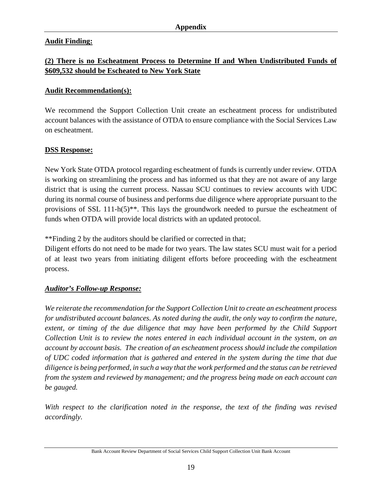## **Audit Finding:**

# **(2) There is no Escheatment Process to Determine If and When Undistributed Funds of \$609,532 should be Escheated to New York State**

#### **Audit Recommendation(s):**

We recommend the Support Collection Unit create an escheatment process for undistributed account balances with the assistance of OTDA to ensure compliance with the Social Services Law on escheatment.

#### **DSS Response:**

New York State OTDA protocol regarding escheatment of funds is currently under review. OTDA is working on streamlining the process and has informed us that they are not aware of any large district that is using the current process. Nassau SCU continues to review accounts with UDC during its normal course of business and performs due diligence where appropriate pursuant to the provisions of SSL 111-h(5)\*\*. This lays the groundwork needed to pursue the escheatment of funds when OTDA will provide local districts with an updated protocol.

\*\*Finding 2 by the auditors should be clarified or corrected in that;

Diligent efforts do not need to be made for two years. The law states SCU must wait for a period of at least two years from initiating diligent efforts before proceeding with the escheatment process.

#### *Auditor's Follow-up Response:*

*We reiterate the recommendation for the Support Collection Unit to create an escheatment process for undistributed account balances. As noted during the audit, the only way to confirm the nature, extent, or timing of the due diligence that may have been performed by the Child Support Collection Unit is to review the notes entered in each individual account in the system, on an account by account basis. The creation of an escheatment process should include the compilation of UDC coded information that is gathered and entered in the system during the time that due diligence is being performed, in such a way that the work performed and the status can be retrieved from the system and reviewed by management; and the progress being made on each account can be gauged.* 

*With respect to the clarification noted in the response, the text of the finding was revised accordingly.*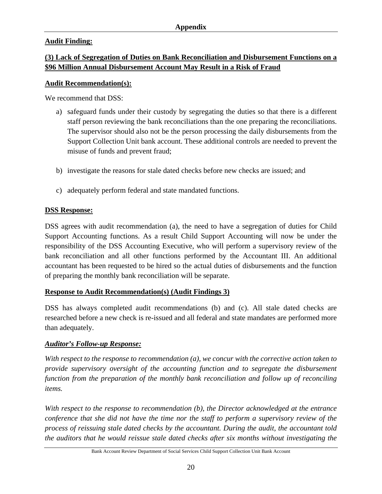# **Audit Finding:**

# **(3) Lack of Segregation of Duties on Bank Reconciliation and Disbursement Functions on a \$96 Million Annual Disbursement Account May Result in a Risk of Fraud**

#### **Audit Recommendation(s):**

We recommend that DSS:

- a) safeguard funds under their custody by segregating the duties so that there is a different staff person reviewing the bank reconciliations than the one preparing the reconciliations. The supervisor should also not be the person processing the daily disbursements from the Support Collection Unit bank account. These additional controls are needed to prevent the misuse of funds and prevent fraud;
- b) investigate the reasons for stale dated checks before new checks are issued; and
- c) adequately perform federal and state mandated functions.

# **DSS Response:**

DSS agrees with audit recommendation (a), the need to have a segregation of duties for Child Support Accounting functions. As a result Child Support Accounting will now be under the responsibility of the DSS Accounting Executive, who will perform a supervisory review of the bank reconciliation and all other functions performed by the Accountant III. An additional accountant has been requested to be hired so the actual duties of disbursements and the function of preparing the monthly bank reconciliation will be separate.

# **Response to Audit Recommendation(s) (Audit Findings 3)**

DSS has always completed audit recommendations (b) and (c). All stale dated checks are researched before a new check is re-issued and all federal and state mandates are performed more than adequately.

# *Auditor's Follow-up Response:*

*With respect to the response to recommendation (a), we concur with the corrective action taken to provide supervisory oversight of the accounting function and to segregate the disbursement function from the preparation of the monthly bank reconciliation and follow up of reconciling items.* 

*With respect to the response to recommendation (b), the Director acknowledged at the entrance conference that she did not have the time nor the staff to perform a supervisory review of the process of reissuing stale dated checks by the accountant. During the audit, the accountant told the auditors that he would reissue stale dated checks after six months without investigating the*